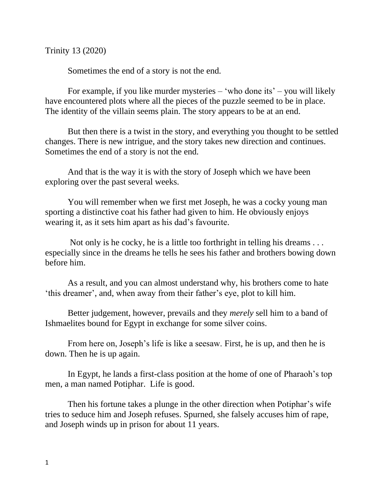Trinity 13 (2020)

Sometimes the end of a story is not the end.

For example, if you like murder mysteries – 'who done its' – you will likely have encountered plots where all the pieces of the puzzle seemed to be in place. The identity of the villain seems plain. The story appears to be at an end.

But then there is a twist in the story, and everything you thought to be settled changes. There is new intrigue, and the story takes new direction and continues. Sometimes the end of a story is not the end.

And that is the way it is with the story of Joseph which we have been exploring over the past several weeks.

You will remember when we first met Joseph, he was a cocky young man sporting a distinctive coat his father had given to him. He obviously enjoys wearing it, as it sets him apart as his dad's favourite.

Not only is he cocky, he is a little too forthright in telling his dreams . . . especially since in the dreams he tells he sees his father and brothers bowing down before him.

As a result, and you can almost understand why, his brothers come to hate 'this dreamer', and, when away from their father's eye, plot to kill him.

Better judgement, however, prevails and they *merely* sell him to a band of Ishmaelites bound for Egypt in exchange for some silver coins.

From here on, Joseph's life is like a seesaw. First, he is up, and then he is down. Then he is up again.

In Egypt, he lands a first-class position at the home of one of Pharaoh's top men, a man named Potiphar. Life is good.

Then his fortune takes a plunge in the other direction when Potiphar's wife tries to seduce him and Joseph refuses. Spurned, she falsely accuses him of rape, and Joseph winds up in prison for about 11 years.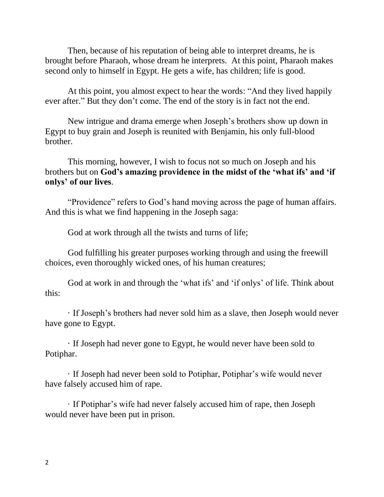Then, because of his reputation of being able to interpret dreams, he is brought before Pharaoh, whose dream he interprets. At this point, Pharaoh makes second only to himself in Egypt. He gets a wife, has children; life is good.

At this point, you almost expect to hear the words: "And they lived happily ever after." But they don't come. The end of the story is in fact not the end.

New intrigue and drama emerge when Joseph's brothers show up down in Egypt to buy grain and Joseph is reunited with Benjamin, his only full-blood brother.

This morning, however, I wish to focus not so much on Joseph and his brothers but on **God's amazing providence in the midst of the 'what ifs' and 'if onlys' of our lives**.

"Providence" refers to God's hand moving across the page of human affairs. And this is what we find happening in the Joseph saga:

God at work through all the twists and turns of life;

God fulfilling his greater purposes working through and using the freewill choices, even thoroughly wicked ones, of his human creatures;

God at work in and through the 'what ifs' and 'if onlys' of life. Think about this:

· If Joseph's brothers had never sold him as a slave, then Joseph would never have gone to Egypt.

· If Joseph had never gone to Egypt, he would never have been sold to Potiphar.

· If Joseph had never been sold to Potiphar, Potiphar's wife would never have falsely accused him of rape.

· If Potiphar's wife had never falsely accused him of rape, then Joseph would never have been put in prison.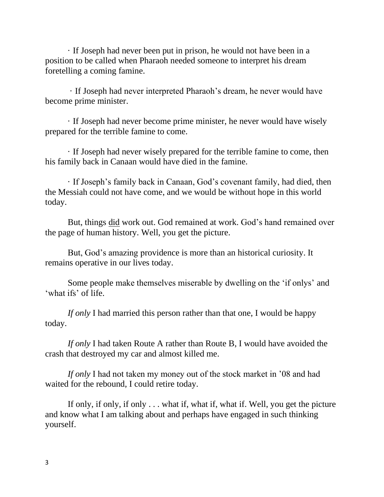· If Joseph had never been put in prison, he would not have been in a position to be called when Pharaoh needed someone to interpret his dream foretelling a coming famine.

· If Joseph had never interpreted Pharaoh's dream, he never would have become prime minister.

· If Joseph had never become prime minister, he never would have wisely prepared for the terrible famine to come.

· If Joseph had never wisely prepared for the terrible famine to come, then his family back in Canaan would have died in the famine.

· If Joseph's family back in Canaan, God's covenant family, had died, then the Messiah could not have come, and we would be without hope in this world today.

But, things did work out. God remained at work. God's hand remained over the page of human history. Well, you get the picture.

But, God's amazing providence is more than an historical curiosity. It remains operative in our lives today.

Some people make themselves miserable by dwelling on the 'if onlys' and 'what ifs' of life.

*If only* I had married this person rather than that one, I would be happy today.

*If only* I had taken Route A rather than Route B, I would have avoided the crash that destroyed my car and almost killed me.

*If only* I had not taken my money out of the stock market in '08 and had waited for the rebound, I could retire today.

If only, if only, if only . . . what if, what if, what if. Well, you get the picture and know what I am talking about and perhaps have engaged in such thinking yourself.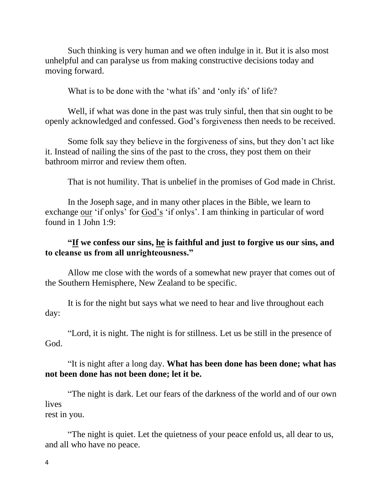Such thinking is very human and we often indulge in it. But it is also most unhelpful and can paralyse us from making constructive decisions today and moving forward.

What is to be done with the 'what ifs' and 'only ifs' of life?

Well, if what was done in the past was truly sinful, then that sin ought to be openly acknowledged and confessed. God's forgiveness then needs to be received.

Some folk say they believe in the forgiveness of sins, but they don't act like it. Instead of nailing the sins of the past to the cross, they post them on their bathroom mirror and review them often.

That is not humility. That is unbelief in the promises of God made in Christ.

In the Joseph sage, and in many other places in the Bible, we learn to exchange our 'if onlys' for God's 'if onlys'. I am thinking in particular of word found in 1 John 1:9:

## **"If we confess our sins, he is faithful and just to forgive us our sins, and to cleanse us from all unrighteousness."**

Allow me close with the words of a somewhat new prayer that comes out of the Southern Hemisphere, New Zealand to be specific.

It is for the night but says what we need to hear and live throughout each day:

"Lord, it is night. The night is for stillness. Let us be still in the presence of God.

## "It is night after a long day. **What has been done has been done; what has not been done has not been done; let it be.**

"The night is dark. Let our fears of the darkness of the world and of our own lives rest in you.

"The night is quiet. Let the quietness of your peace enfold us, all dear to us, and all who have no peace.